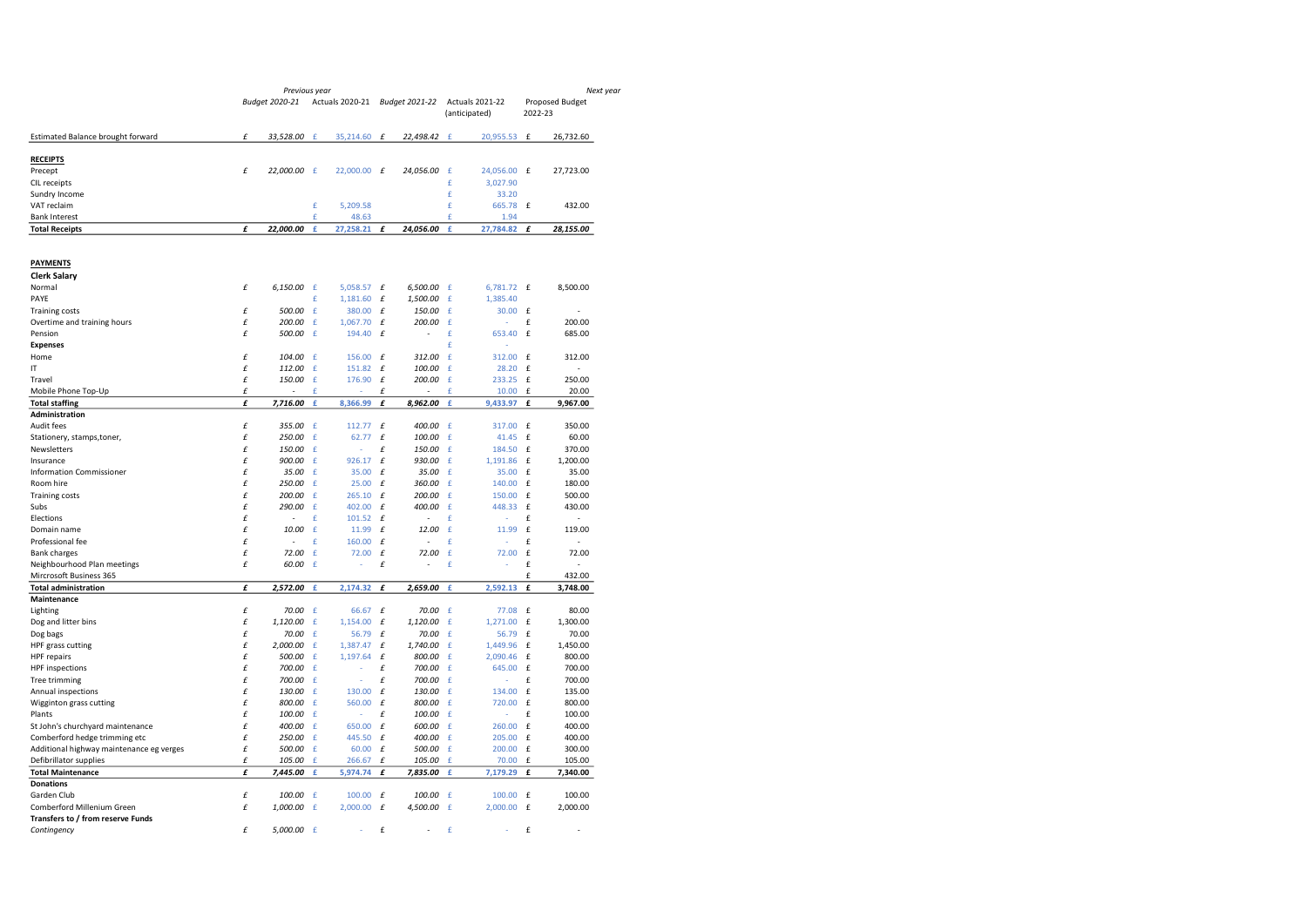|                                                        |   | Previous year  |             |                        |              |                |            |                                         | Next year          |                    |  |
|--------------------------------------------------------|---|----------------|-------------|------------------------|--------------|----------------|------------|-----------------------------------------|--------------------|--------------------|--|
|                                                        |   | Budget 2020-21 |             | <b>Actuals 2020-21</b> |              | Budget 2021-22 |            | <b>Actuals 2021-22</b><br>(anticipated) | 2022-23            | Proposed Budget    |  |
| Estimated Balance brought forward                      | £ | 33,528.00      | f           | 35,214.60              | $\mathbf f$  | 22,498.42      | f          | 20,955.53                               | £                  | 26,732.60          |  |
| <b>RECEIPTS</b>                                        |   |                |             |                        |              |                |            |                                         |                    |                    |  |
| Precept                                                | £ | 22,000.00 £    |             | 22,000.00              | $\mathbf f$  | 24,056.00      | £          | 24,056.00                               | £                  | 27,723.00          |  |
| CIL receipts                                           |   |                |             |                        |              |                | £          | 3,027.90                                |                    |                    |  |
| Sundry Income                                          |   |                |             |                        |              |                | £          | 33.20                                   |                    |                    |  |
| VAT reclaim                                            |   |                | £           | 5,209.58               |              |                | £          | 665.78                                  | £                  | 432.00             |  |
| <b>Bank Interest</b>                                   |   |                | £           | 48.63                  |              |                | £          | 1.94                                    |                    |                    |  |
| <b>Total Receipts</b>                                  | £ | 22,000.00      | £           | 27,258.21              | £            | 24,056.00      | £          | 27,784.82                               | £                  | 28,155.00          |  |
| <b>PAYMENTS</b>                                        |   |                |             |                        |              |                |            |                                         |                    |                    |  |
| <b>Clerk Salary</b>                                    |   |                |             |                        |              |                |            |                                         |                    |                    |  |
| Normal                                                 | £ | 6,150.00       | £           | 5,058.57               | £            | 6,500.00       | £          | 6,781.72                                | £                  | 8,500.00           |  |
| PAYE                                                   |   |                | £           | 1,181.60               | £            | 1,500.00       | £          | 1,385.40                                |                    |                    |  |
| <b>Training costs</b>                                  | £ | 500.00         | £           | 380.00                 | £            | 150.00         | £          | 30.00                                   | £                  |                    |  |
| Overtime and training hours                            | £ | 200.00         | £           | 1,067.70               | £            | 200.00         | £          |                                         | £                  | 200.00             |  |
| Pension                                                | £ | 500.00         | £           | 194.40                 | £            |                | £          | 653.40                                  | £                  | 685.00             |  |
| <b>Expenses</b>                                        |   |                |             |                        |              |                | £          |                                         |                    |                    |  |
| Home                                                   | £ | 104.00         | $\mathbf f$ | 156.00                 | $\pounds$    | 312.00         | £          | 312.00                                  | £                  | 312.00             |  |
| IT                                                     | £ | 112.00         | £           | 151.82                 | £            | 100.00         | £          | 28.20                                   | £                  | ÷,                 |  |
| Travel                                                 | £ | 150.00         | £           | 176.90                 | £            | 200.00         | £          | 233.25                                  | £                  | 250.00             |  |
| Mobile Phone Top-Up                                    | £ |                | £           |                        | £            |                | £          | 10.00                                   | $\mathbf{f}$       | 20.00              |  |
| <b>Total staffing</b>                                  | £ | 7,716.00       | £           | 8,366.99               | £            | 8,962.00       | £          | 9.433.97                                | £                  | 9,967.00           |  |
| Administration                                         |   |                |             |                        |              |                |            |                                         |                    |                    |  |
| Audit fees                                             | £ | 355.00         | £           | 112.77                 | £            | 400.00         | $\epsilon$ | 317.00                                  | £                  | 350.00             |  |
| Stationery, stamps, toner,                             | £ | 250.00         | £           | 62.77                  | £            | 100.00         | £          | 41.45                                   | £                  | 60.00              |  |
| Newsletters                                            | £ | 150.00         | £           | ÷,                     | £            | 150.00         | £          | 184.50                                  | £                  | 370.00             |  |
| Insurance                                              | £ | 900.00         | £           | 926.17                 | £            | 930.00         | £          | 1.191.86                                | £                  | 1.200.00           |  |
| <b>Information Commissioner</b>                        | £ | 35.00          | £           | 35.00                  | £            | 35.00          | £          | 35.00                                   | £                  | 35.00              |  |
| Room hire                                              | £ | 250.00         | £           | 25.00                  | £            | 360.00         | £          | 140.00                                  | £                  | 180.00             |  |
| <b>Training costs</b>                                  | £ | 200.00         | £           | 265.10                 | £            | 200.00         | £          | 150.00                                  | $\mathbf{f}$       | 500.00             |  |
| Subs                                                   | £ | 290.00         | £           | 402.00                 | £            | 400.00         | £          | 448.33                                  | £                  | 430.00             |  |
| Elections                                              | £ |                | £           | 101.52                 | £            |                | £          |                                         | £                  |                    |  |
| Domain name                                            | £ | 10.00          | £           | 11.99                  | £            | 12.00          | £          | 11.99                                   | £                  | 119.00             |  |
| Professional fee                                       | £ | ÷,             | £           | 160.00                 | £            | L,             | £          |                                         | £                  | $\overline{a}$     |  |
| <b>Bank charges</b>                                    | £ | 72.00          | £           | 72.00                  | $\pounds$    | 72.00          | £          | 72.00                                   | £                  | 72.00              |  |
| Neighbourhood Plan meetings                            | £ | 60.00          | £           |                        | £            |                | £          |                                         | £<br>£             |                    |  |
| Mircrosoft Business 365<br><b>Total administration</b> | £ | 2,572.00       | £           | 2,174.32               | £            | 2,659.00       | £          | 2,592.13                                | £                  | 432.00<br>3,748.00 |  |
| Maintenance                                            |   |                |             |                        |              |                |            |                                         |                    |                    |  |
| Lighting                                               | £ | 70.00          | £           | 66.67                  | £            | 70.00          | £          | 77.08                                   | £                  | 80.00              |  |
| Dog and litter bins                                    | £ | 1.120.00       | £           | 1,154.00               | $\it{f}$     | 1,120.00       | £          | 1,271.00                                | $\pmb{\mathrm{f}}$ | 1,300.00           |  |
| Dog bags                                               | £ | 70.00          | £           | 56.79                  | £            | 70.00          | $\epsilon$ | 56.79                                   | £                  | 70.00              |  |
| HPF grass cutting                                      | £ | 2.000.00       | £           | 1,387.47               | £            | 1,740.00       | £          | 1,449.96                                | £                  | 1,450.00           |  |
| <b>HPF</b> repairs                                     | £ | 500.00         | £           | 1,197.64               | £            | 800.00         | $\epsilon$ | 2,090.46                                | £                  | 800.00             |  |
| <b>HPF</b> inspections                                 | £ | 700.00         | £           |                        | £            | 700.00         | £          | 645.00                                  | £                  | 700.00             |  |
| Tree trimming                                          | £ | 700.00         | £           |                        | £            | 700.00         | £          | ٠                                       | £                  | 700.00             |  |
| Annual inspections                                     | £ | 130.00         | £           | 130.00                 | £            | 130.00         | £          | 134.00                                  | £                  | 135.00             |  |
| Wigginton grass cutting                                | £ | 800.00         | £           | 560.00                 | $\mathbf{f}$ | 800.00         | £          | 720.00                                  | £                  | 800.00             |  |
| Plants                                                 | £ | 100.00         | £           |                        | £            | 100.00         | £          |                                         | £                  | 100.00             |  |
| St John's churchyard maintenance                       | £ | 400.00         | £           | 650.00                 | £            | 600.00         | £          | 260.00                                  | £                  | 400.00             |  |
| Comberford hedge trimming etc                          | £ | 250.00         | £           | 445.50                 | $\pounds$    | 400.00         | £          | 205.00                                  | £                  | 400.00             |  |
| Additional highway maintenance eg verges               | £ | 500.00         | £           | 60.00                  | £            | 500.00         | £          | 200.00                                  | £                  | 300.00             |  |
| Defibrillator supplies                                 | £ | 105.00         | £           | 266.67                 | £            | 105.00         | £          | 70.00                                   | £                  | 105.00             |  |
| <b>Total Maintenance</b>                               | £ | 7,445.00       | £           | 5,974.74               | £            | 7,835.00       | £          | 7,179.29                                | £                  | 7,340.00           |  |
| <b>Donations</b>                                       |   |                |             |                        |              |                |            |                                         |                    |                    |  |
| Garden Club                                            | £ | 100.00         | £           | 100.00                 | £            | 100.00         | £          | 100.00                                  | £                  | 100.00             |  |
| Comberford Millenium Green                             | £ | 1.000.00       | £           | 2.000.00               | £            | 4,500.00       | £          | 2.000.00                                | £                  | 2,000.00           |  |
| Transfers to / from reserve Funds                      |   |                |             |                        |              |                |            |                                         |                    |                    |  |
| Contingency                                            | £ | 5,000.00       | $\sqrt{f}$  |                        | £            |                | £          |                                         | £                  | ÷,                 |  |